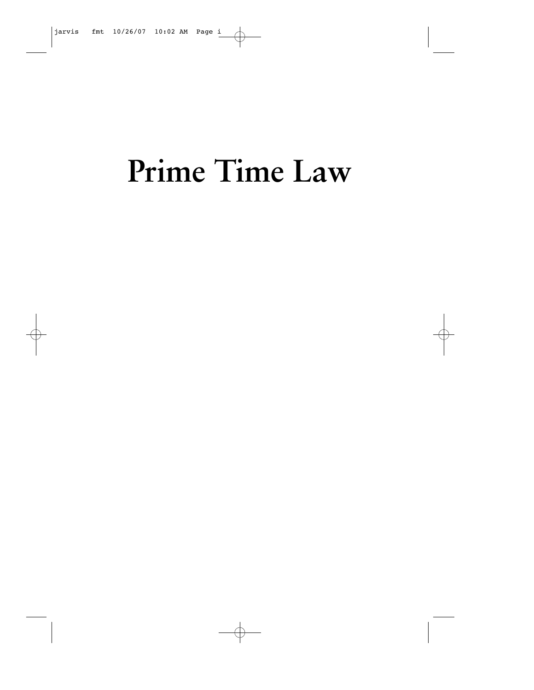# Prime Time Law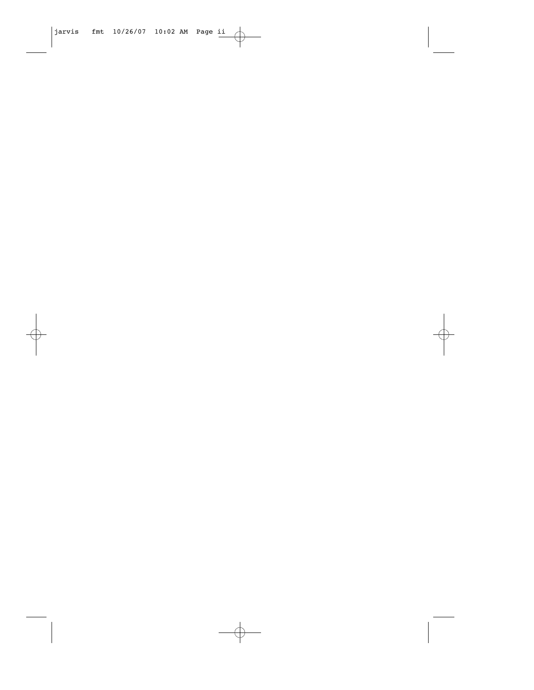$\begin{tabular}{|l|l|l|l|} \hline \texttt{jarus} & \texttt{fmt} & 10/26/07 & 10:02~\texttt{AM} & \texttt{Page} & \underline{\texttt{ii}} & \\\hline \end{tabular}$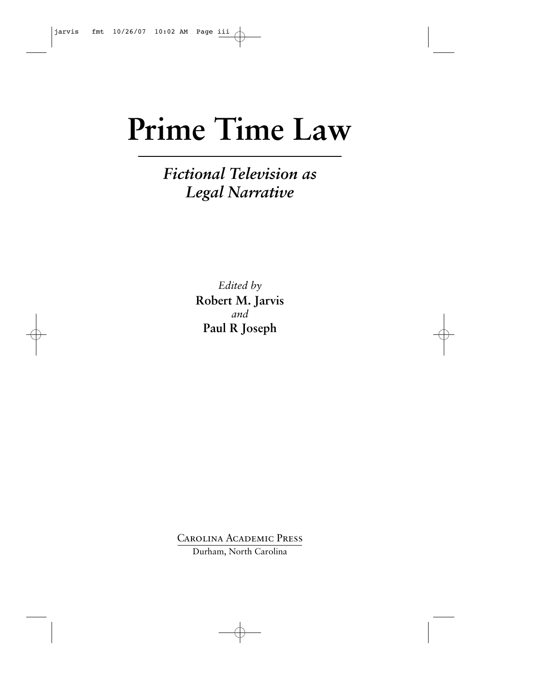## **Prime Time Law**

*Fictional Television as Legal Narrative*

> *Edited by* **Robert M. Jarvis** *and* **Paul R Joseph**

Carolina Academic Press Durham, North Carolina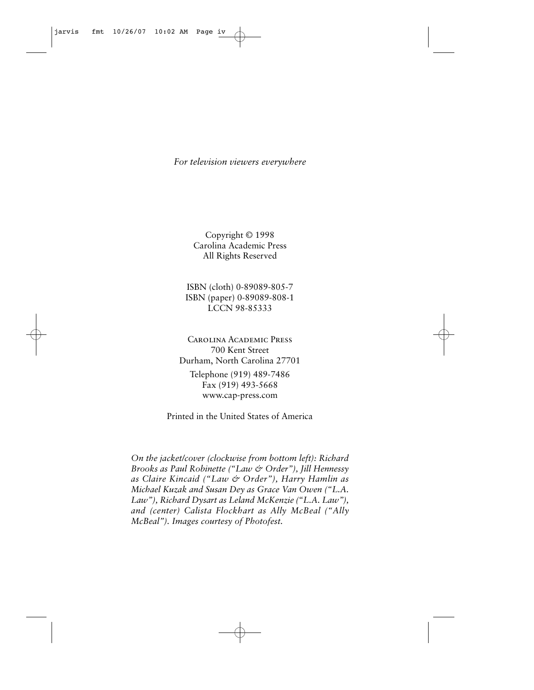*For television viewers everywhere*

Copyright © 1998 Carolina Academic Press All Rights Reserved

ISBN (cloth) 0-89089-805-7 ISBN (paper) 0-89089-808-1 LCCN 98-85333

Carolina Academic Press 700 Kent Street Durham, North Carolina 27701 Telephone (919) 489-7486 Fax (919) 493-5668 www.cap-press.com

Printed in the United States of America

*On the jacket/cover (clockwise from bottom left): Richard Brooks as Paul Robinette ("Law & Order"), Jill Hennessy as Claire Kincaid ("Law & Order"), Harry Hamlin as Michael Kuzak and Susan Dey as Grace Van Owen ("L.A. Law"), Richard Dysart as Leland McKenzie ("L.A. Law"), and (center) Calista Flockhart as Ally McBeal ("Ally McBeal"). Images courtesy of Photofest.*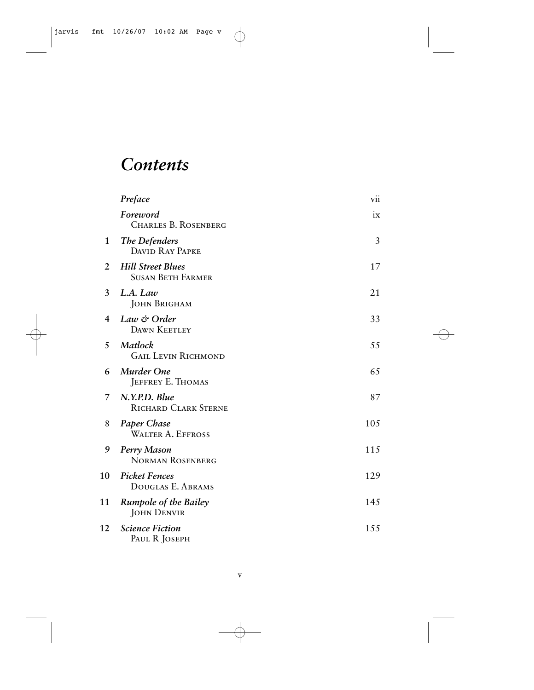### *Contents*

|              | Preface                                              | vii |
|--------------|------------------------------------------------------|-----|
|              | Foreword<br><b>CHARLES B. ROSENBERG</b>              | ix  |
| $\mathbf{1}$ | The Defenders<br><b>DAVID RAY PAPKE</b>              | 3   |
| 2            | <b>Hill Street Blues</b><br><b>SUSAN BETH FARMER</b> | 17  |
| 3            | L.A. Law<br><b>JOHN BRIGHAM</b>                      | 21  |
| 4            | Law & Order<br><b>DAWN KEETLEY</b>                   | 33  |
| 5            | Matlock<br><b>GAIL LEVIN RICHMOND</b>                | 55  |
| 6            | <b>Murder One</b><br>JEFFREY E. THOMAS               | 65  |
| 7            | N.Y.P.D. Blue<br><b>RICHARD CLARK STERNE</b>         | 87  |
| 8            | Paper Chase<br><b>WALTER A. EFFROSS</b>              | 105 |
| 9            | Perry Mason<br>NORMAN ROSENBERG                      | 115 |
| 10           | <b>Picket Fences</b><br>DOUGLAS E. ABRAMS            | 129 |
| 11           | <b>Rumpole of the Bailey</b><br><b>JOHN DENVIR</b>   | 145 |
| 12           | <b>Science Fiction</b><br>PAUL R JOSEPH              | 155 |

 $\bigoplus$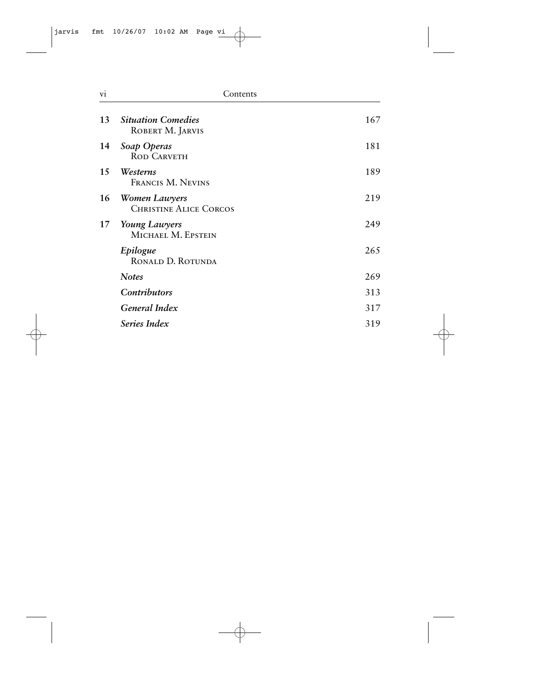| vi | Contents                                       |     |
|----|------------------------------------------------|-----|
| 13 | <b>Situation Comedies</b><br>ROBERT M. JARVIS  | 167 |
| 14 | Soap Operas<br><b>ROD CARVETH</b>              | 181 |
| 15 | Westerns<br>FRANCIS M. NEVINS                  | 189 |
| 16 | Women Lawyers<br><b>CHRISTINE ALICE CORCOS</b> | 219 |
| 17 | <b>Young Lawyers</b><br>MICHAEL M. EPSTEIN     | 249 |
|    | Epilogue<br>RONALD D. ROTUNDA                  | 265 |
|    | <b>Notes</b>                                   | 269 |
|    | Contributors                                   | 313 |
|    | General Index                                  | 317 |
|    | Series Index                                   | 319 |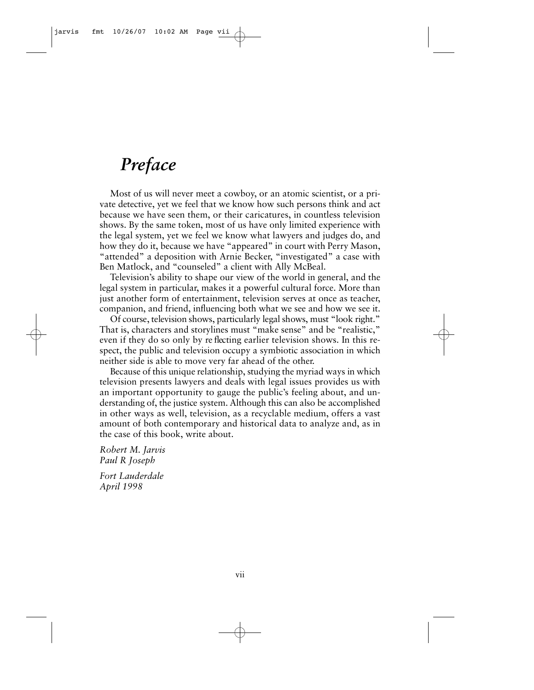### *Preface*

Most of us will never meet a cowboy, or an atomic scientist, or a private detective, yet we feel that we know how such persons think and act because we have seen them, or their caricatures, in countless television shows. By the same token, most of us have only limited experience with the legal system, yet we feel we know what lawyers and judges do, and how they do it, because we have "appeared" in court with Perry Mason, "attended" a deposition with Arnie Becker, "investigated" a case with Ben Matlock, and "counseled" a client with Ally McBeal.

Television's ability to shape our view of the world in general, and the legal system in particular, makes it a powerful cultural force. More than just another form of entertainment, television serves at once as teacher, companion, and friend, influencing both what we see and how we see it.

Of course, television shows, particularly legal shows, must "look right." That is, characters and storylines must "make sense" and be "realistic," even if they do so only by re flecting earlier television shows. In this respect, the public and television occupy a symbiotic association in which neither side is able to move very far ahead of the other.

Because of this unique relationship, studying the myriad ways in which television presents lawyers and deals with legal issues provides us with an important opportunity to gauge the public's feeling about, and understanding of, the justice system. Although this can also be accomplished in other ways as well, television, as a recyclable medium, offers a vast amount of both contemporary and historical data to analyze and, as in the case of this book, write about.

*Robert M. Jarvis Paul R Joseph*

*Fort Lauderdale April 1998*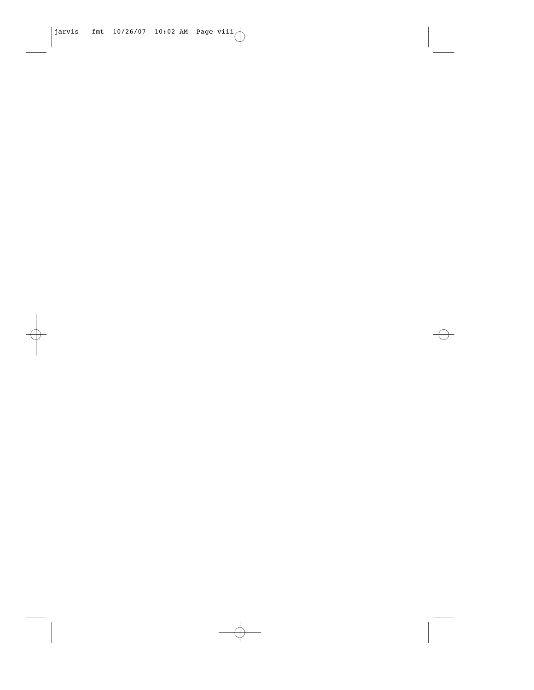$\begin{vmatrix} \text{jarvis} & \text{fmt} & 10/26/07 & 10:02 \text{ AM} & \text{Page } \frac{\text{viii}}{2} \end{vmatrix}$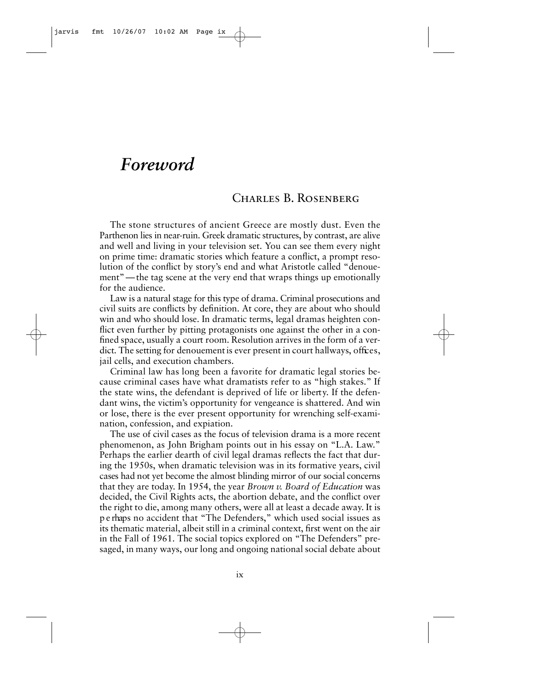#### *Foreword*

#### Charles B. Rosenberg

The stone structures of ancient Greece are mostly dust. Even the Parthenon lies in near-ruin. Greek dramatic structures, by contrast, are alive and well and living in your television set. You can see them every night on prime time: dramatic stories which feature a conflict, a prompt resolution of the conflict by story's end and what Aristotle called "denouement"—the tag scene at the very end that wraps things up emotionally for the audience.

Law is a natural stage for this type of drama. Criminal prosecutions and civil suits are conflicts by definition. At core, they are about who should win and who should lose. In dramatic terms, legal dramas heighten conflict even further by pitting protagonists one against the other in a confined space, usually a court room. Resolution arrives in the form of a verdict. The setting for denouement is ever present in court hallways, offices, jail cells, and execution chambers.

Criminal law has long been a favorite for dramatic legal stories because criminal cases have what dramatists refer to as "high stakes." If the state wins, the defendant is deprived of life or libert y. If the defendant wins, the victim's opportunity for vengeance is shattered. And win or lose, there is the ever present opportunity for wrenching self-examination, confession, and expiation.

The use of civil cases as the focus of television drama is a more recent phenomenon, as John Brigham points out in his essay on "L.A. Law. " Perhaps the earlier dearth of civil legal dramas reflects the fact that during the 1950s, when dramatic television was in its formative years, civil cases had not yet become the almost blinding mirror of our social concerns that they are today. In 1954, the year *Brown v. Board of Education* was decided, the Civil Rights acts, the abortion debate, and the conflict over the right to die, among many others, were all at least a decade away. It is p e rhaps no accident that "The Defenders," which used social issues as its thematic material, albeit still in a criminal context, first went on the air in the Fall of 1961. The social topics explored on "The Defenders" presaged, in many ways, our long and ongoing national social debate about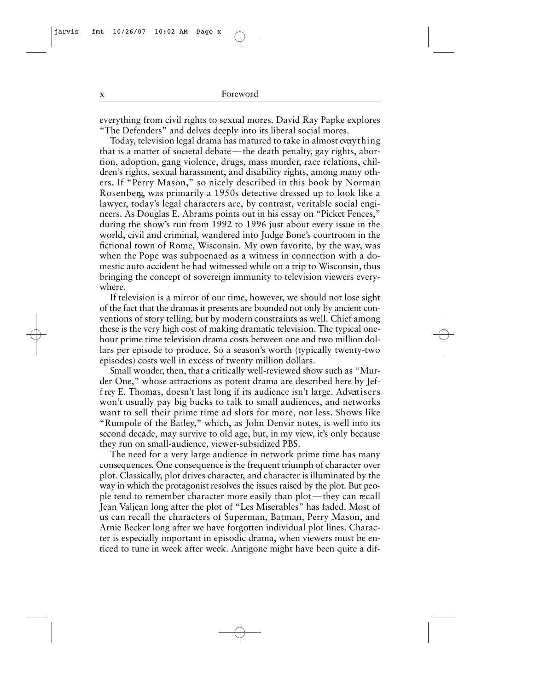x Foreword

everything from civil rights to sexual mores. David Ray Papke explores "The Defenders" and delves deeply into its liberal social mores.

Today, television legal drama has matured to take in almost every thing that is a matter of societal debate—the death penalty, gay rights, abortion, adoption, gang violence, drugs, mass murder, race relations, children's rights, sexual harassment, and disability rights, among many others. If "Perry Mason," so nicely described in this book by Norman Rosenberg, was primarily a 1950s detective dressed up to look like a lawyer, today's legal characters are, by contrast, veritable social engineers. As Douglas E. Abrams points out in his essay on "Picket Fences," during the show's run from 1992 to 1996 just about every issue in the world, civil and criminal, wandered into Judge Bone's courtroom in the fictional town of Rome, Wisconsin. My own favorite, by the way, was when the Pope was subpoenaed as a witness in connection with a domestic auto accident he had witnessed while on a trip to Wisconsin, thus bringing the concept of sovereign immunity to television viewers everywhere.

If television is a mirror of our time, however, we should not lose sight of the fact that the dramas it presents are bounded not only by ancient conventions of story telling, but by modern constraints as well. Chief among these is the very high cost of making dramatic television. The typical onehour prime time television drama costs between one and two million dollars per episode to produce. So a season's worth (typically twenty-two episodes) costs well in excess of twenty million dollars.

Small wonder, then, that a critically well-reviewed show such as "Murder One," whose attractions as potent drama are described here by Jeff rey E. Thomas, doesn't last long if its audience isn't large. Advertisers won't usually pay big bucks to talk to small audiences, and networks want to sell their prime time ad slots for more, not less. Shows like "Rumpole of the Bailey," which, as John Denvir notes, is well into its second decade, may survive to old age, but, in my view, it's only because they run on small-audience, viewer-subsidized PBS.

The need for a very large audience in network prime time has many consequences. One consequence is the frequent triumph of character over plot. Classically, plot drives character, and character is illuminated by the way in which the protagonist resolves the issues raised by the plot. But people tend to remember character more easily than plot—they can recall Jean Valjean long after the plot of "Les Miserables" has faded. Most of us can recall the characters of Superman, Batman, Perry Mason, and Arnie Becker long after we have forgotten individual plot lines. Character is especially important in episodic drama, when viewers must be enticed to tune in week after week. Antigone might have been quite a dif-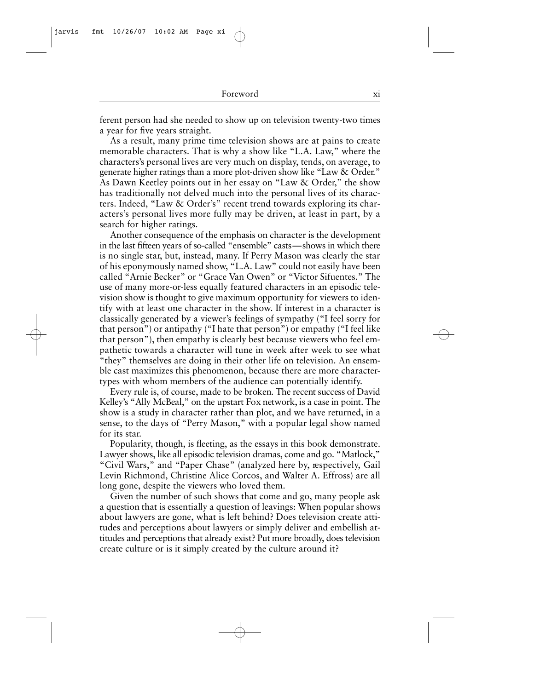Foreword xi

ferent person had she needed to show up on television twenty-two times a year for five years straight.

As a result, many prime time television shows are at pains to create memorable characters. That is why a show like "L.A. Law," where the characters's personal lives are very much on display, tends, on average, to generate higher ratings than a more plot-driven show like "Law & Order." As Dawn Keetley points out in her essay on "Law & Order," the show has traditionally not delved much into the personal lives of its characters. Indeed, "Law & Order's" recent trend towards exploring its characters's personal lives more fully may be driven, at least in part, by a search for higher ratings.

Another consequence of the emphasis on character is the development in the last fifteen years of so-called "ensemble" casts—shows in which there is no single star, but, instead, many. If Perry Mason was clearly the star of his eponymously named show, "L.A. Law" could not easily have been called "Arnie Becker" or "Grace Van Owen" or "Victor Sifuentes." The use of many more-or-less equally featured characters in an episodic television show is thought to give maximum opportunity for viewers to identify with at least one character in the show. If interest in a character is classically generated by a viewer's feelings of sympathy ("I feel sorry for that person") or antipathy ("I hate that person") or empathy ("I feel like that person"), then empathy is clearly best because viewers who feel empathetic towards a character will tune in week after week to see what "they" themselves are doing in their other life on television. An ensemble cast maximizes this phenomenon, because there are more charactertypes with whom members of the audience can potentially identify.

Every rule is, of course, made to be broken. The recent success of David Kelley's "Ally McBeal," on the upstart Fox network, is a case in point. The show is a study in character rather than plot, and we have returned, in a sense, to the days of "Perry Mason," with a popular legal show named for its star.

Popularity, though, is fleeting, as the essays in this book demonstrate. Lawyer shows, like all episodic television dramas, come and go. "Matlock," "Civil Wars," and "Paper Chase" (analyzed here by, respectively, Gail Levin Richmond, Christine Alice Corcos, and Walter A. Effross) are all long gone, despite the viewers who loved them.

Given the number of such shows that come and go, many people ask a question that is essentially a question of leavings: When popular shows about lawyers are gone, what is left behind? Does television create attitudes and perceptions about lawyers or simply deliver and embellish attitudes and perceptions that already exist? Put more broadly, does television create culture or is it simply created by the culture around it?